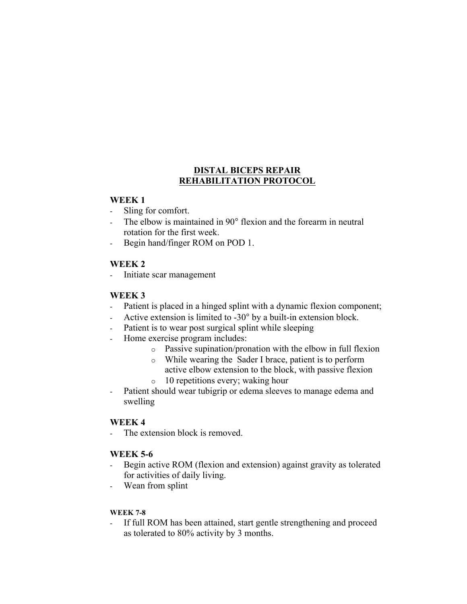## **DISTAL BICEPS REPAIR REHABILITATION PROTOCOL**

#### **WEEK 1**

- Sling for comfort.
- The elbow is maintained in 90° flexion and the forearm in neutral rotation for the first week.
- Begin hand/finger ROM on POD 1.

## **WEEK 2**

Initiate scar management

# **WEEK 3**

- Patient is placed in a hinged splint with a dynamic flexion component;
- Active extension is limited to -30° by a built-in extension block.
- Patient is to wear post surgical splint while sleeping
- Home exercise program includes:
	- o Passive supination/pronation with the elbow in full flexion
	- o While wearing the Sader I brace, patient is to perform active elbow extension to the block, with passive flexion
	- o 10 repetitions every; waking hour
- Patient should wear tubigrip or edema sleeves to manage edema and swelling

## **WEEK 4**

- The extension block is removed.

## **WEEK 5-6**

- Begin active ROM (flexion and extension) against gravity as tolerated for activities of daily living.
- Wean from splint

#### **WEEK 7-8**

If full ROM has been attained, start gentle strengthening and proceed as tolerated to 80% activity by 3 months.